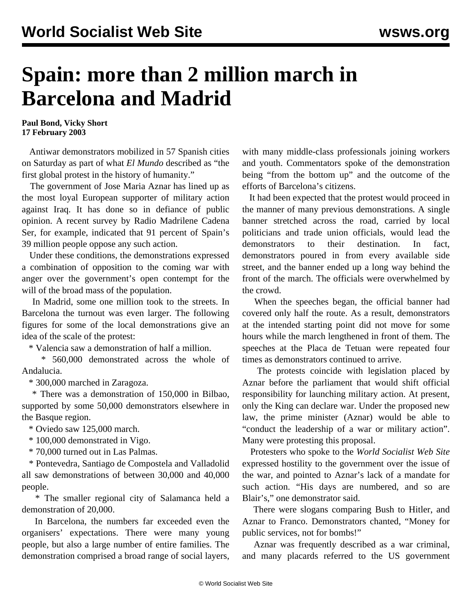## **Spain: more than 2 million march in Barcelona and Madrid**

**Paul Bond, Vicky Short 17 February 2003**

 Antiwar demonstrators mobilized in 57 Spanish cities on Saturday as part of what *El Mundo* described as "the first global protest in the history of humanity."

 The government of Jose Maria Aznar has lined up as the most loyal European supporter of military action against Iraq. It has done so in defiance of public opinion. A recent survey by Radio Madrilene Cadena Ser, for example, indicated that 91 percent of Spain's 39 million people oppose any such action.

 Under these conditions, the demonstrations expressed a combination of opposition to the coming war with anger over the government's open contempt for the will of the broad mass of the population.

 In Madrid, some one million took to the streets. In Barcelona the turnout was even larger. The following figures for some of the local demonstrations give an idea of the scale of the protest:

\* Valencia saw a demonstration of half a million.

 \* 560,000 demonstrated across the whole of Andalucia.

\* 300,000 marched in Zaragoza.

 \* There was a demonstration of 150,000 in Bilbao, supported by some 50,000 demonstrators elsewhere in the Basque region.

\* Oviedo saw 125,000 march.

\* 100,000 demonstrated in Vigo.

\* 70,000 turned out in Las Palmas.

 \* Pontevedra, Santiago de Compostela and Valladolid all saw demonstrations of between 30,000 and 40,000 people.

 \* The smaller regional city of Salamanca held a demonstration of 20,000.

 In Barcelona, the numbers far exceeded even the organisers' expectations. There were many young people, but also a large number of entire families. The demonstration comprised a broad range of social layers,

with many middle-class professionals joining workers and youth. Commentators spoke of the demonstration being "from the bottom up" and the outcome of the efforts of Barcelona's citizens.

 It had been expected that the protest would proceed in the manner of many previous demonstrations. A single banner stretched across the road, carried by local politicians and trade union officials, would lead the demonstrators to their destination. In fact, demonstrators poured in from every available side street, and the banner ended up a long way behind the front of the march. The officials were overwhelmed by the crowd.

 When the speeches began, the official banner had covered only half the route. As a result, demonstrators at the intended starting point did not move for some hours while the march lengthened in front of them. The speeches at the Placa de Tetuan were repeated four times as demonstrators continued to arrive.

 The protests coincide with legislation placed by Aznar before the parliament that would shift official responsibility for launching military action. At present, only the King can declare war. Under the proposed new law, the prime minister (Aznar) would be able to "conduct the leadership of a war or military action". Many were protesting this proposal.

 Protesters who spoke to the *World Socialist Web Site* expressed hostility to the government over the issue of the war, and pointed to Aznar's lack of a mandate for such action. "His days are numbered, and so are Blair's," one demonstrator said.

 There were slogans comparing Bush to Hitler, and Aznar to Franco. Demonstrators chanted, "Money for public services, not for bombs!"

 Aznar was frequently described as a war criminal, and many placards referred to the US government